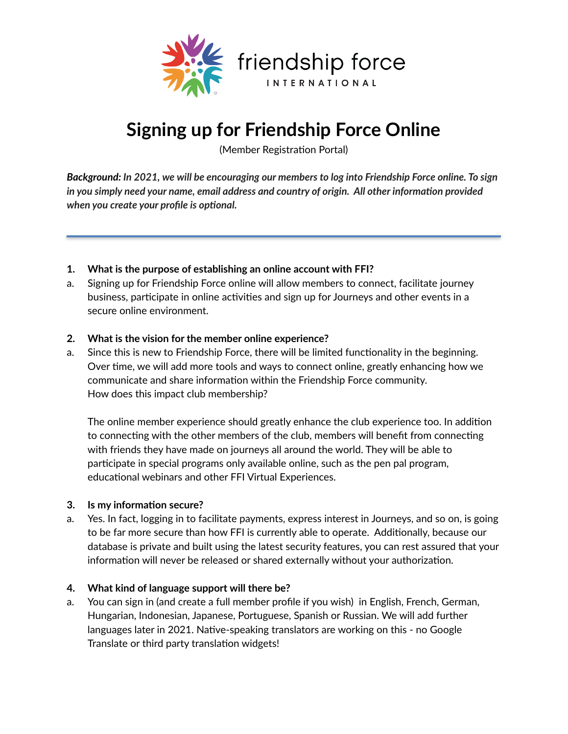

# **Signing up for Friendship Force Online**

(Member Registration Portal)

*Background: In 2021, we will be encouraging our members to log into Friendship Force online. To sign in you simply need your name, email address and country of origin. All other information provided when you create your profile is optional.* 

- **1. What is the purpose of establishing an online account with FFI?**
- a. Signing up for Friendship Force online will allow members to connect, facilitate journey business, participate in online activities and sign up for Journeys and other events in a secure online environment.

## **2. What is the vision for the member online experience?**

a. Since this is new to Friendship Force, there will be limited functionality in the beginning. Over time, we will add more tools and ways to connect online, greatly enhancing how we communicate and share information within the Friendship Force community. How does this impact club membership?

The online member experience should greatly enhance the club experience too. In addition to connecting with the other members of the club, members will benefit from connecting with friends they have made on journeys all around the world. They will be able to participate in special programs only available online, such as the pen pal program, educational webinars and other FFI Virtual Experiences.

#### **3. Is my information secure?**

a. Yes. In fact, logging in to facilitate payments, express interest in Journeys, and so on, is going to be far more secure than how FFI is currently able to operate. Additionally, because our database is private and built using the latest security features, you can rest assured that your information will never be released or shared externally without your authorization.

#### **4. What kind of language support will there be?**

a. You can sign in (and create a full member profile if you wish) in English, French, German, Hungarian, Indonesian, Japanese, Portuguese, Spanish or Russian. We will add further languages later in 2021. Native-speaking translators are working on this - no Google Translate or third party translation widgets!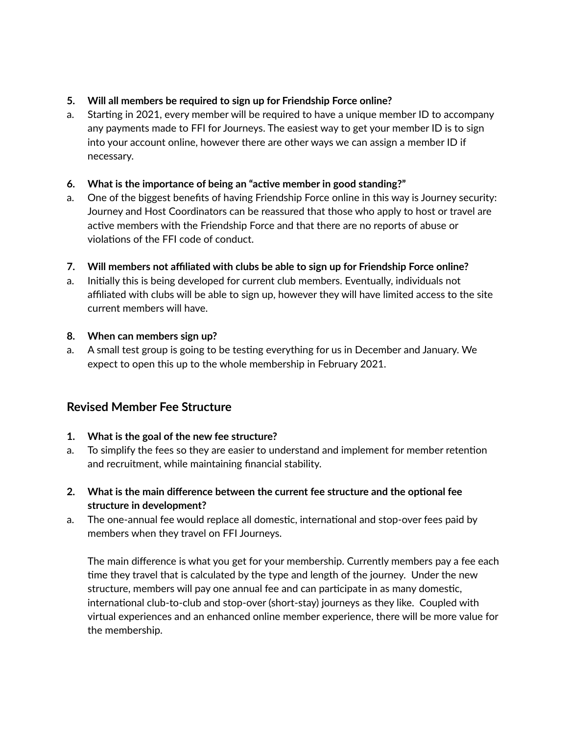## **5. Will all members be required to sign up for Friendship Force online?**

a. Starting in 2021, every member will be required to have a unique member ID to accompany any payments made to FFI for Journeys. The easiest way to get your member ID is to sign into your account online, however there are other ways we can assign a member ID if necessary.

## **6. What is the importance of being an "acBve member in good standing?"**

a. One of the biggest benefits of having Friendship Force online in this way is Journey security: Journey and Host Coordinators can be reassured that those who apply to host or travel are active members with the Friendship Force and that there are no reports of abuse or violations of the FFI code of conduct.

## **7. Will members not affiliated with clubs be able to sign up for Friendship Force online?**

a. Initially this is being developed for current club members. Eventually, individuals not affiliated with clubs will be able to sign up, however they will have limited access to the site current members will have.

## **8. When can members sign up?**

a. A small test group is going to be testing everything for us in December and January. We expect to open this up to the whole membership in February 2021.

## **Revised Member Fee Structure**

## **1. What is the goal of the new fee structure?**

- a. To simplify the fees so they are easier to understand and implement for member retention and recruitment, while maintaining financial stability.
- **2.** What is the main difference between the current fee structure and the optional fee **structure in development?**
- a. The one-annual fee would replace all domestic, international and stop-over fees paid by members when they travel on FFI Journeys.

The main difference is what you get for your membership. Currently members pay a fee each time they travel that is calculated by the type and length of the journey. Under the new structure, members will pay one annual fee and can participate in as many domestic, international club-to-club and stop-over (short-stay) journeys as they like. Coupled with virtual experiences and an enhanced online member experience, there will be more value for the membership.